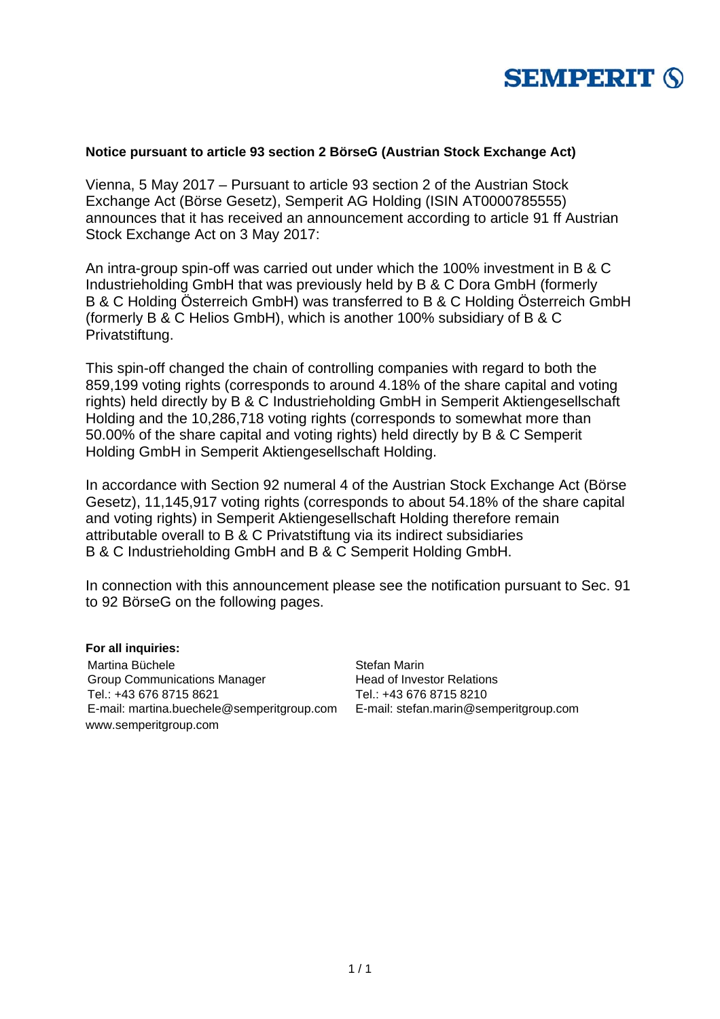

#### **Notice pursuant to article 93 section 2 BörseG (Austrian Stock Exchange Act)**

Vienna, 5 May 2017 – Pursuant to article 93 section 2 of the Austrian Stock Exchange Act (Börse Gesetz), Semperit AG Holding (ISIN AT0000785555) announces that it has received an announcement according to article 91 ff Austrian Stock Exchange Act on 3 May 2017:

An intra-group spin-off was carried out under which the 100% investment in B & C Industrieholding GmbH that was previously held by B & C Dora GmbH (formerly B & C Holding Österreich GmbH) was transferred to B & C Holding Österreich GmbH (formerly B & C Helios GmbH), which is another 100% subsidiary of B & C Privatstiftung.

This spin-off changed the chain of controlling companies with regard to both the 859,199 voting rights (corresponds to around 4.18% of the share capital and voting rights) held directly by B & C Industrieholding GmbH in Semperit Aktiengesellschaft Holding and the 10,286,718 voting rights (corresponds to somewhat more than 50.00% of the share capital and voting rights) held directly by B & C Semperit Holding GmbH in Semperit Aktiengesellschaft Holding.

In accordance with Section 92 numeral 4 of the Austrian Stock Exchange Act (Börse Gesetz), 11,145,917 voting rights (corresponds to about 54.18% of the share capital and voting rights) in Semperit Aktiengesellschaft Holding therefore remain attributable overall to B & C Privatstiftung via its indirect subsidiaries B & C Industrieholding GmbH and B & C Semperit Holding GmbH.

In connection with this announcement please see the notification pursuant to Sec. 91 to 92 BörseG on the following pages.

#### **For all inquiries:**

Martina Büchele Group Communications Manager Tel.: +43 676 8715 8621 E-mail: martina.buechele@semperitgroup.com E-mail: stefan.marin@semperitgroup.com www.semperitgroup.com

Stefan Marin Head of Investor Relations Tel.: +43 676 8715 8210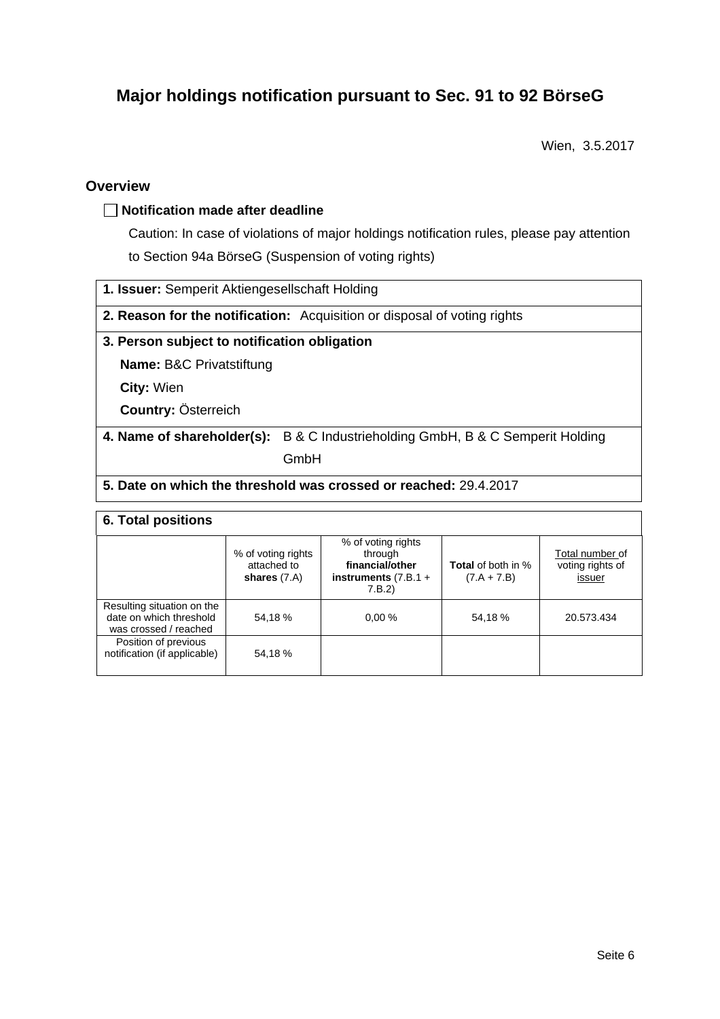# **Major holdings notification pursuant to Sec. 91 to 92 BörseG**

Wien, 3.5.2017

## **Overview**

#### **Notification made after deadline**

Caution: In case of violations of major holdings notification rules, please pay attention to Section 94a BörseG (Suspension of voting rights)

**1. Issuer:** Semperit Aktiengesellschaft Holding

**2. Reason for the notification:** Acquisition or disposal of voting rights

#### **3. Person subject to notification obligation**

**Name:** B&C Privatstiftung

**City:** Wien

**Country:** Österreich

**4. Name of shareholder(s):** B & C Industrieholding GmbH, B & C Semperit Holding

GmbH

### **5. Date on which the threshold was crossed or reached:** 29.4.2017

#### **6. Total positions**

|                                                                                | % of voting rights<br>attached to<br>shares $(7.A)$ | % of voting rights<br>through<br>financial/other<br>instruments $(7.B.1 +$<br>7.B.2) | <b>Total</b> of both in %<br>$(7.A + 7.B)$ | Total number of<br>voting rights of<br>issuer |  |  |
|--------------------------------------------------------------------------------|-----------------------------------------------------|--------------------------------------------------------------------------------------|--------------------------------------------|-----------------------------------------------|--|--|
| Resulting situation on the<br>date on which threshold<br>was crossed / reached | 54,18%                                              | 0.00%                                                                                | 54,18%                                     | 20.573.434                                    |  |  |
| Position of previous<br>notification (if applicable)                           | 54,18%                                              |                                                                                      |                                            |                                               |  |  |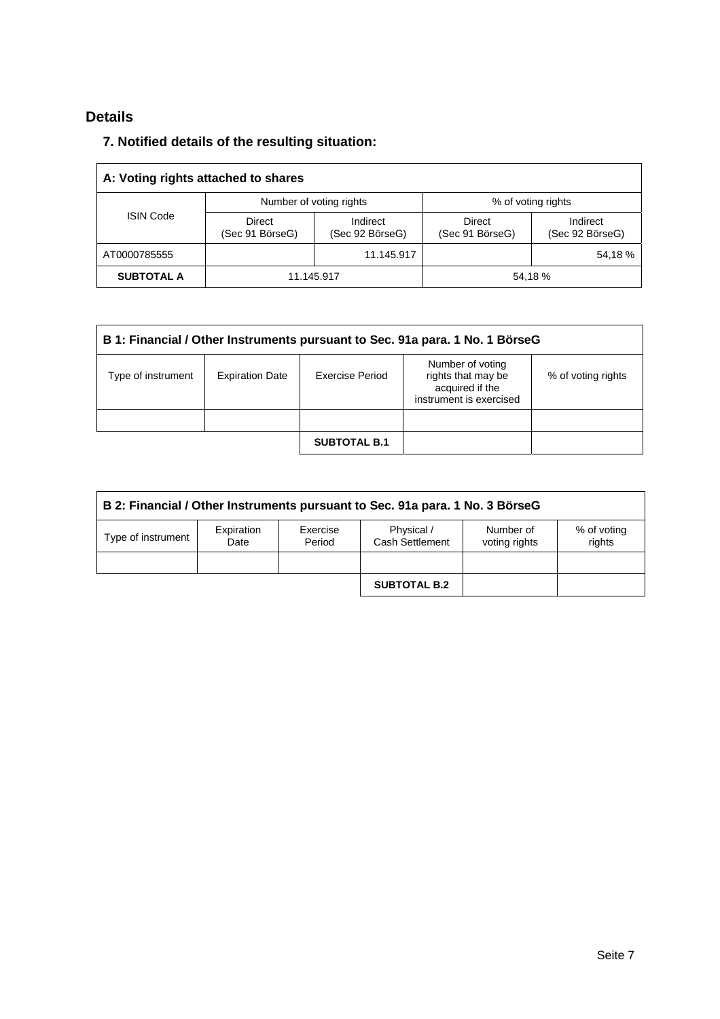## **Details**

## **7. Notified details of the resulting situation:**

| A: Voting rights attached to shares |                           |                             |                                  |                             |  |
|-------------------------------------|---------------------------|-----------------------------|----------------------------------|-----------------------------|--|
| <b>ISIN Code</b>                    |                           | Number of voting rights     | % of voting rights               |                             |  |
|                                     | Direct<br>(Sec 91 BörseG) | Indirect<br>(Sec 92 BörseG) | <b>Direct</b><br>(Sec 91 BörseG) | Indirect<br>(Sec 92 BörseG) |  |
| AT0000785555                        |                           | 11.145.917                  |                                  | 54,18%                      |  |
| <b>SUBTOTAL A</b>                   | 11.145.917                |                             | 54,18%                           |                             |  |

| B 1: Financial / Other Instruments pursuant to Sec. 91a para. 1 No. 1 BörseG |                        |                     |                                                                                      |                    |  |
|------------------------------------------------------------------------------|------------------------|---------------------|--------------------------------------------------------------------------------------|--------------------|--|
| Type of instrument                                                           | <b>Expiration Date</b> | Exercise Period     | Number of voting<br>rights that may be<br>acquired if the<br>instrument is exercised | % of voting rights |  |
|                                                                              |                        |                     |                                                                                      |                    |  |
|                                                                              |                        | <b>SUBTOTAL B.1</b> |                                                                                      |                    |  |

| B 2: Financial / Other Instruments pursuant to Sec. 91a para. 1 No. 3 BörseG |                    |                    |                               |                            |                       |
|------------------------------------------------------------------------------|--------------------|--------------------|-------------------------------|----------------------------|-----------------------|
| Type of instrument                                                           | Expiration<br>Date | Exercise<br>Period | Physical /<br>Cash Settlement | Number of<br>voting rights | % of voting<br>rights |
|                                                                              |                    |                    |                               |                            |                       |
|                                                                              |                    |                    | <b>SUBTOTAL B.2</b>           |                            |                       |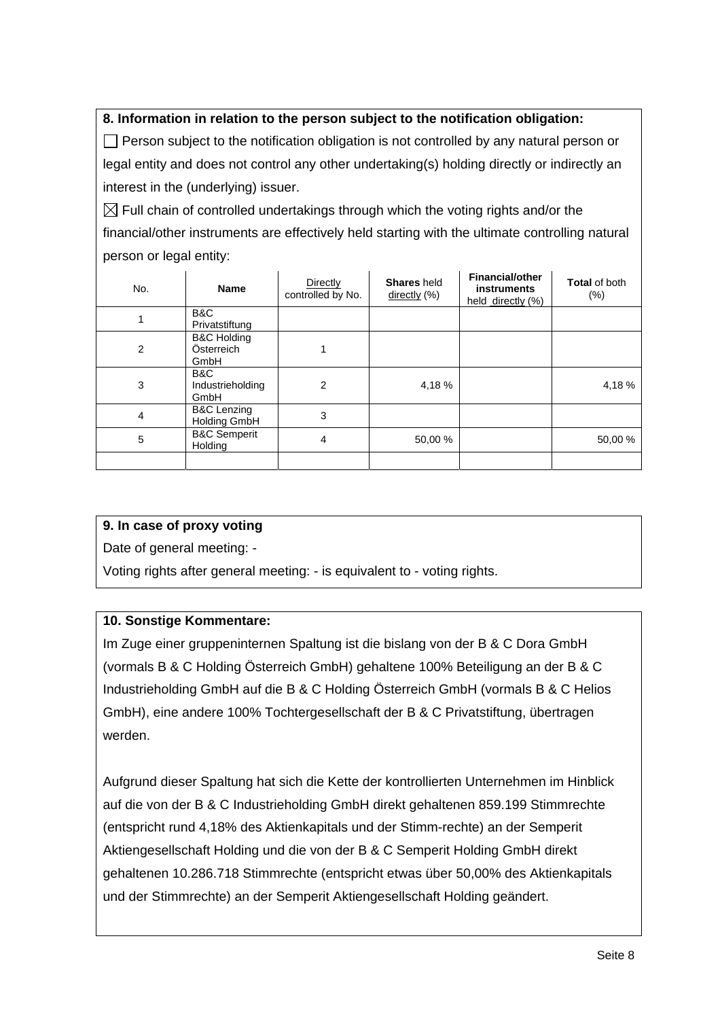## **8. Information in relation to the person subject to the notification obligation:**

 $\Box$  Person subject to the notification obligation is not controlled by any natural person or legal entity and does not control any other undertaking(s) holding directly or indirectly an interest in the (underlying) issuer.

 $\boxtimes$  Full chain of controlled undertakings through which the voting rights and/or the financial/other instruments are effectively held starting with the ultimate controlling natural person or legal entity:

| No. | <b>Name</b>                                   | Directly<br>controlled by No. | <b>Shares</b> held<br>$\frac{directly}{\sqrt{ }}$ (%) | <b>Financial/other</b><br><b>instruments</b><br>held directly (%) | <b>Total of both</b><br>$(\% )$ |
|-----|-----------------------------------------------|-------------------------------|-------------------------------------------------------|-------------------------------------------------------------------|---------------------------------|
|     | B&C<br>Privatstiftung                         |                               |                                                       |                                                                   |                                 |
| 2   | <b>B&amp;C Holding</b><br>Österreich<br>GmbH  |                               |                                                       |                                                                   |                                 |
| 3   | B&C<br>Industrieholding<br>GmbH               | 2                             | 4,18%                                                 |                                                                   | 4,18%                           |
| 4   | <b>B&amp;C Lenzing</b><br><b>Holding GmbH</b> | 3                             |                                                       |                                                                   |                                 |
| 5   | <b>B&amp;C Semperit</b><br>Holding            | 4                             | 50,00 %                                               |                                                                   | 50,00 %                         |
|     |                                               |                               |                                                       |                                                                   |                                 |

## **9. In case of proxy voting**

Date of general meeting: -

Voting rights after general meeting: - is equivalent to - voting rights.

## **10. Sonstige Kommentare:**

Im Zuge einer gruppeninternen Spaltung ist die bislang von der B & C Dora GmbH (vormals B & C Holding Österreich GmbH) gehaltene 100% Beteiligung an der B & C Industrieholding GmbH auf die B & C Holding Österreich GmbH (vormals B & C Helios GmbH), eine andere 100% Tochtergesellschaft der B & C Privatstiftung, übertragen werden.

Aufgrund dieser Spaltung hat sich die Kette der kontrollierten Unternehmen im Hinblick auf die von der B & C Industrieholding GmbH direkt gehaltenen 859.199 Stimmrechte (entspricht rund 4,18% des Aktienkapitals und der Stimm-rechte) an der Semperit Aktiengesellschaft Holding und die von der B & C Semperit Holding GmbH direkt gehaltenen 10.286.718 Stimmrechte (entspricht etwas über 50,00% des Aktienkapitals und der Stimmrechte) an der Semperit Aktiengesellschaft Holding geändert.